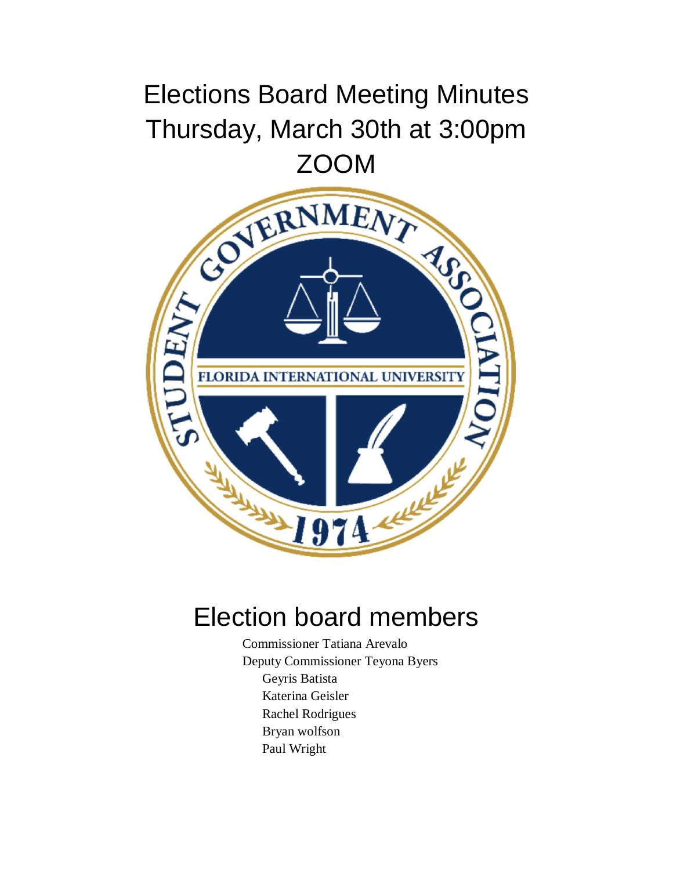## Elections Board Meeting Minutes Thursday, March 30th at 3:00pm



## Election board members

Commissioner Tatiana Arevalo Deputy Commissioner Teyona Byers Geyris Batista Katerina Geisler Rachel Rodrigues Bryan wolfson Paul Wright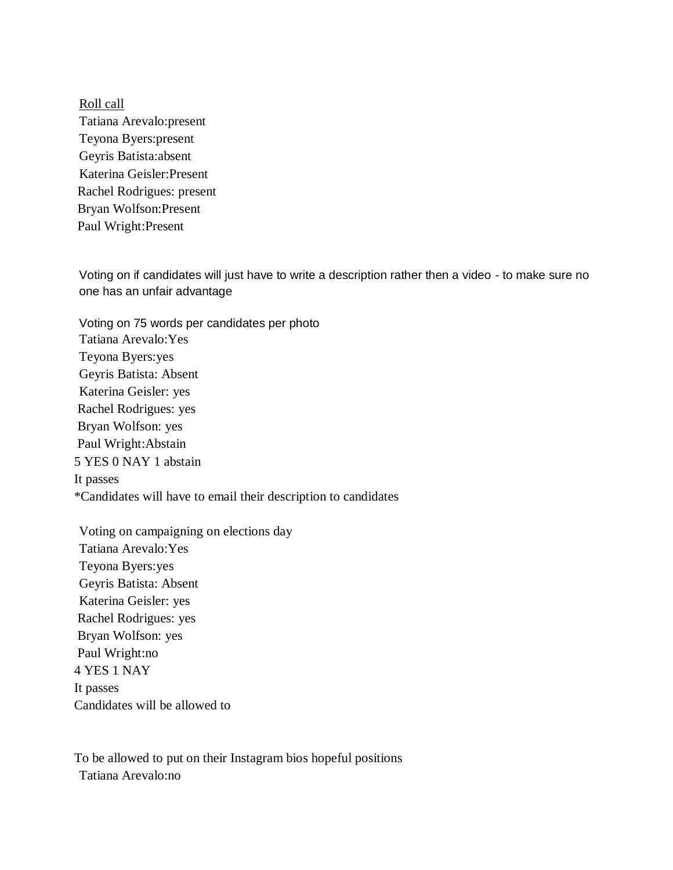Roll call Tatiana Arevalo:present Teyona Byers:present Geyris Batista:absent Katerina Geisler:Present Rachel Rodrigues: present Bryan Wolfson:Present Paul Wright:Present

Voting on if candidates will just have to write a description rather then a video - to make sure no one has an unfair advantage

Voting on 75 words per candidates per photo Tatiana Arevalo:Yes Teyona Byers:yes Geyris Batista: Absent Katerina Geisler: yes Rachel Rodrigues: yes Bryan Wolfson: yes Paul Wright:Abstain 5 YES 0 NAY 1 abstain It passes \*Candidates will have to email their description to candidates

Voting on campaigning on elections day Tatiana Arevalo:Yes Teyona Byers:yes Geyris Batista: Absent Katerina Geisler: yes Rachel Rodrigues: yes Bryan Wolfson: yes Paul Wright:no 4 YES 1 NAY It passes Candidates will be allowed to

To be allowed to put on their Instagram bios hopeful positions Tatiana Arevalo:no